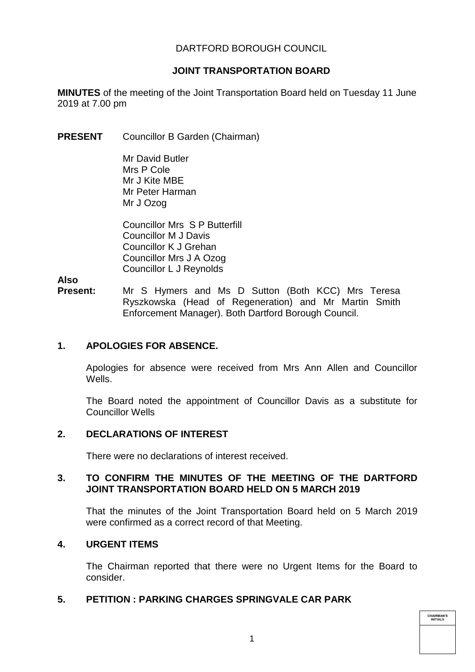## DARTFORD BOROUGH COUNCIL

## **JOINT TRANSPORTATION BOARD**

**MINUTES** of the meeting of the Joint Transportation Board held on Tuesday 11 June 2019 at 7.00 pm

**PRESENT** Councillor B Garden (Chairman)

> Mr David Butler Mrs P Cole Mr J Kite MBE Mr Peter Harman Mr J Ozog

Councillor Mrs S P Butterfill Councillor M J Davis Councillor K J Grehan Councillor Mrs J A Ozog Councillor L J Reynolds

**Also** 

**Present:** Mr S Hymers and Ms D Sutton (Both KCC) Mrs Teresa Ryszkowska (Head of Regeneration) and Mr Martin Smith Enforcement Manager). Both Dartford Borough Council.

# **1. APOLOGIES FOR ABSENCE.**

Apologies for absence were received from Mrs Ann Allen and Councillor Wells.

The Board noted the appointment of Councillor Davis as a substitute for Councillor Wells

## **2. DECLARATIONS OF INTEREST**

There were no declarations of interest received.

## **3. TO CONFIRM THE MINUTES OF THE MEETING OF THE DARTFORD JOINT TRANSPORTATION BOARD HELD ON 5 MARCH 2019**

That the minutes of the Joint Transportation Board held on 5 March 2019 were confirmed as a correct record of that Meeting.

## **4. URGENT ITEMS**

The Chairman reported that there were no Urgent Items for the Board to consider.

# **5. PETITION : PARKING CHARGES SPRINGVALE CAR PARK**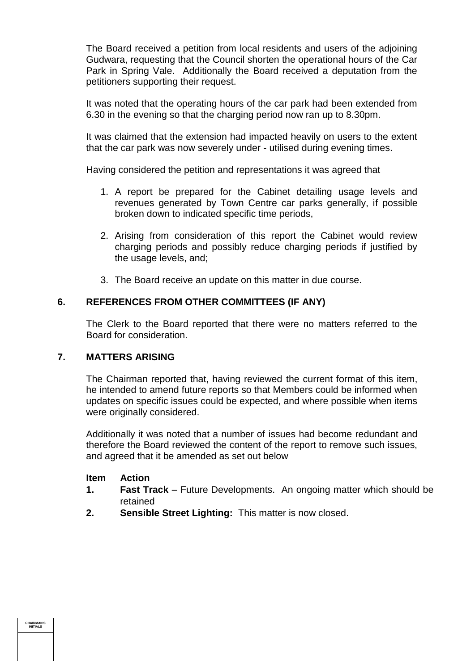The Board received a petition from local residents and users of the adjoining Gudwara, requesting that the Council shorten the operational hours of the Car Park in Spring Vale. Additionally the Board received a deputation from the petitioners supporting their request.

It was noted that the operating hours of the car park had been extended from 6.30 in the evening so that the charging period now ran up to 8.30pm.

It was claimed that the extension had impacted heavily on users to the extent that the car park was now severely under - utilised during evening times.

Having considered the petition and representations it was agreed that

- 1. A report be prepared for the Cabinet detailing usage levels and revenues generated by Town Centre car parks generally, if possible broken down to indicated specific time periods,
- 2. Arising from consideration of this report the Cabinet would review charging periods and possibly reduce charging periods if justified by the usage levels, and;
- 3. The Board receive an update on this matter in due course.

## **6. REFERENCES FROM OTHER COMMITTEES (IF ANY)**

The Clerk to the Board reported that there were no matters referred to the Board for consideration.

## **7. MATTERS ARISING**

The Chairman reported that, having reviewed the current format of this item, he intended to amend future reports so that Members could be informed when updates on specific issues could be expected, and where possible when items were originally considered.

Additionally it was noted that a number of issues had become redundant and therefore the Board reviewed the content of the report to remove such issues, and agreed that it be amended as set out below

#### **Item Action**

- **1. Fast Track** Future Developments. An ongoing matter which should be retained
- **2. Sensible Street Lighting:** This matter is now closed.

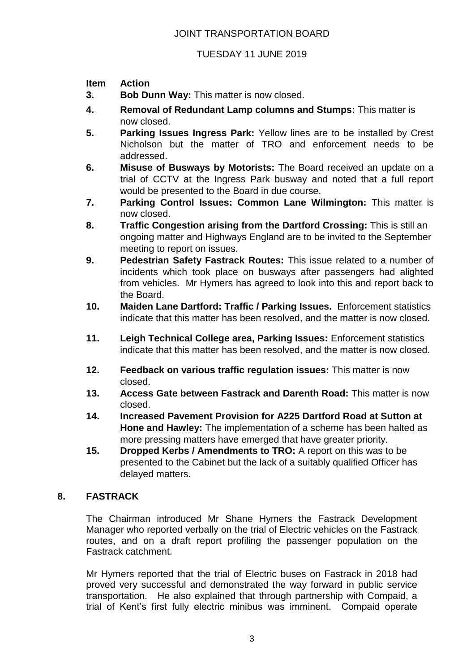## TUESDAY 11 JUNE 2019

**Item Action**

- **14.15. Bob Dunn Way: This matter is now closed.**
- **16. 4.17. Removal of Redundant Lamp columns and Stumps:** This matter is now closed.
- **18. 5.19. Parking Issues Ingress Park:** Yellow lines are to be installed by Crest Nicholson but the matter of TRO and enforcement needs to be addressed.
- **20. Misuse of Busways by Motorists:** The Board received an update on a trial of CCTV at the Ingress Park busway and noted that a full report would be presented to the Board in due course.
- **22. 7.23. Parking Control Issues: Common Lane Wilmington:** This matter is now closed.
- **24. 8.25. Traffic Congestion arising from the Dartford Crossing:** This is still an ongoing matter and Highways England are to be invited to the September meeting to report on issues.
- **26. Pedestrian Safety Fastrack Routes:** This issue related to a number of incidents which took place on busways after passengers had alighted from vehicles. Mr Hymers has agreed to look into this and report back to the Board.
- **28. 10. 29. Maiden Lane Dartford: Traffic / Parking Issues.** Enforcement statistics indicate that this matter has been resolved, and the matter is now closed.
- **30. 11. 31. Leigh Technical College area, Parking Issues:** Enforcement statistics indicate that this matter has been resolved, and the matter is now closed.
- **32. 12. 33. Feedback on various traffic regulation issues:** This matter is now closed.
- **34. 13.5. Access Gate between Fastrack and Darenth Road:** This matter is now closed.
- **36. 14. 37. Increased Pavement Provision for A225 Dartford Road at Sutton at Hone and Hawley:** The implementation of a scheme has been halted as more pressing matters have emerged that have greater priority.
- **38. 15. 39. Dropped Kerbs / Amendments to TRO:** A report on this was to be presented to the Cabinet but the lack of a suitably qualified Officer has delayed matters.

# **8. FASTRACK**

The Chairman introduced Mr Shane Hymers the Fastrack Development Manager who reported verbally on the trial of Electric vehicles on the Fastrack routes, and on a draft report profiling the passenger population on the Fastrack catchment.

Mr Hymers reported that the trial of Electric buses on Fastrack in 2018 had proved very successful and demonstrated the way forward in public service transportation. He also explained that through partnership with Compaid, a trial of Kent's first fully electric minibus was imminent. Compaid operate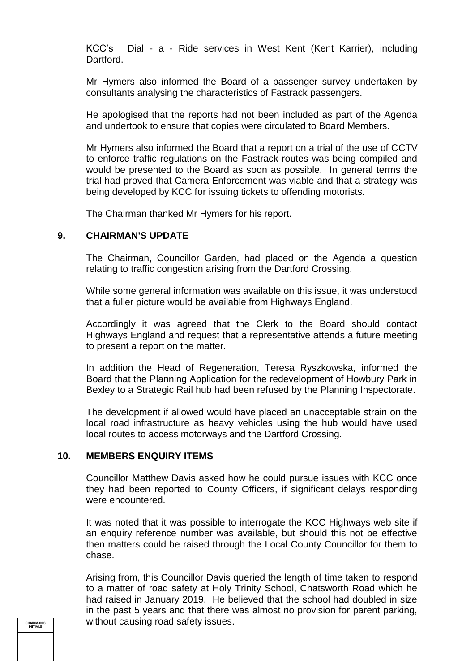KCC's Dial - a - Ride services in West Kent (Kent Karrier), including Dartford.

Mr Hymers also informed the Board of a passenger survey undertaken by consultants analysing the characteristics of Fastrack passengers.

He apologised that the reports had not been included as part of the Agenda and undertook to ensure that copies were circulated to Board Members.

Mr Hymers also informed the Board that a report on a trial of the use of CCTV to enforce traffic regulations on the Fastrack routes was being compiled and would be presented to the Board as soon as possible. In general terms the trial had proved that Camera Enforcement was viable and that a strategy was being developed by KCC for issuing tickets to offending motorists.

The Chairman thanked Mr Hymers for his report.

#### **9. CHAIRMAN'S UPDATE**

The Chairman, Councillor Garden, had placed on the Agenda a question relating to traffic congestion arising from the Dartford Crossing.

While some general information was available on this issue, it was understood that a fuller picture would be available from Highways England.

Accordingly it was agreed that the Clerk to the Board should contact Highways England and request that a representative attends a future meeting to present a report on the matter.

In addition the Head of Regeneration, Teresa Ryszkowska, informed the Board that the Planning Application for the redevelopment of Howbury Park in Bexley to a Strategic Rail hub had been refused by the Planning Inspectorate.

The development if allowed would have placed an unacceptable strain on the local road infrastructure as heavy vehicles using the hub would have used local routes to access motorways and the Dartford Crossing.

#### **10. MEMBERS ENQUIRY ITEMS**

Councillor Matthew Davis asked how he could pursue issues with KCC once they had been reported to County Officers, if significant delays responding were encountered.

It was noted that it was possible to interrogate the KCC Highways web site if an enquiry reference number was available, but should this not be effective then matters could be raised through the Local County Councillor for them to chase.

Arising from, this Councillor Davis queried the length of time taken to respond to a matter of road safety at Holy Trinity School, Chatsworth Road which he had raised in January 2019. He believed that the school had doubled in size in the past 5 years and that there was almost no provision for parent parking, without causing road safety issues.

**CHAIRMAN'S INITIALS**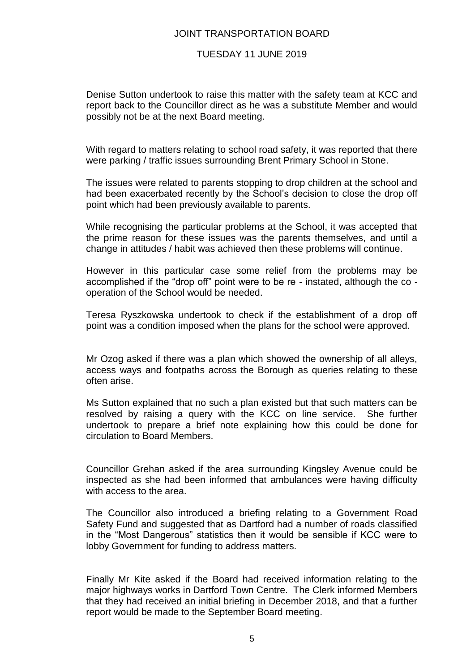#### JOINT TRANSPORTATION BOARD

#### TUESDAY 11 JUNE 2019

Denise Sutton undertook to raise this matter with the safety team at KCC and report back to the Councillor direct as he was a substitute Member and would possibly not be at the next Board meeting.

With regard to matters relating to school road safety, it was reported that there were parking / traffic issues surrounding Brent Primary School in Stone.

The issues were related to parents stopping to drop children at the school and had been exacerbated recently by the School's decision to close the drop off point which had been previously available to parents.

While recognising the particular problems at the School, it was accepted that the prime reason for these issues was the parents themselves, and until a change in attitudes / habit was achieved then these problems will continue.

However in this particular case some relief from the problems may be accomplished if the "drop off" point were to be re - instated, although the co operation of the School would be needed.

Teresa Ryszkowska undertook to check if the establishment of a drop off point was a condition imposed when the plans for the school were approved.

Mr Ozog asked if there was a plan which showed the ownership of all alleys, access ways and footpaths across the Borough as queries relating to these often arise.

Ms Sutton explained that no such a plan existed but that such matters can be resolved by raising a query with the KCC on line service. She further undertook to prepare a brief note explaining how this could be done for circulation to Board Members.

Councillor Grehan asked if the area surrounding Kingsley Avenue could be inspected as she had been informed that ambulances were having difficulty with access to the area.

The Councillor also introduced a briefing relating to a Government Road Safety Fund and suggested that as Dartford had a number of roads classified in the "Most Dangerous" statistics then it would be sensible if KCC were to lobby Government for funding to address matters.

Finally Mr Kite asked if the Board had received information relating to the major highways works in Dartford Town Centre. The Clerk informed Members that they had received an initial briefing in December 2018, and that a further report would be made to the September Board meeting.